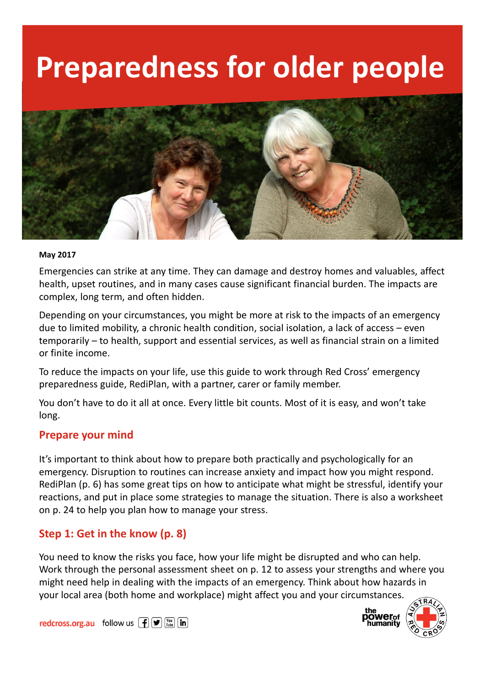# Preparedness for older people



#### May 2017

Emergencies can strike at any time. They can damage and destroy homes and valuables, affect health, upset routines, and in many cases cause significant financial burden. The impacts are complex, long term, and often hidden.

Depending on your circumstances, you might be more at risk to the impacts of an emergency due to limited mobility, a chronic health condition, social isolation, a lack of access – even temporarily – to health, support and essential services, as well as financial strain on a limited or finite income.

To reduce the impacts on your life, use this guide to work through Red Cross' emergency preparedness guide, RediPlan, with a partner, carer or family member.

You don't have to do it all at once. Every little bit counts. Most of it is easy, and won't take long.

#### Prepare your mind

It's important to think about how to prepare both practically and psychologically for an emergency. Disruption to routines can increase anxiety and impact how you might respond. RediPlan (p. 6) has some great tips on how to anticipate what might be stressful, identify your reactions, and put in place some strategies to manage the situation. There is also a worksheet on p. 24 to help you plan how to manage your stress.

#### Step 1: Get in the know (p. 8)

You need to know the risks you face, how your life might be disrupted and who can help. Work through the personal assessment sheet on p. 12 to assess your strengths and where you might need help in dealing with the impacts of an emergency. Think about how hazards in your local area (both home and workplace) might affect you and your circumstances.